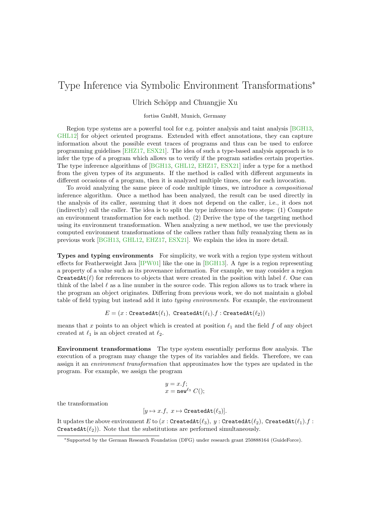## Type Inference via Symbolic Environment Transformations<sup>∗</sup>

## Ulrich Schöpp and Chuangjie Xu

## fortiss GmbH, Munich, Germany

Region type systems are a powerful tool for e.g. pointer analysis and taint analysis [\[BGH13,](#page-2-0) [GHL12\]](#page-2-1) for object oriented programs. Extended with effect annotations, they can capture information about the possible event traces of programs and thus can be used to enforce programming guidelines [\[EHZ17,](#page-2-2) [ESX21\]](#page-2-3). The idea of such a type-based analysis approach is to infer the type of a program which allows us to verify if the program satisfies certain properties. The type inference algorithms of [\[BGH13,](#page-2-0) [GHL12,](#page-2-1) [EHZ17,](#page-2-2) [ESX21\]](#page-2-3) infer a type for a method from the given types of its arguments. If the method is called with different arguments in different occasions of a program, then it is analyzed multiple times, one for each invocation.

To avoid analyzing the same piece of code multiple times, we introduce a compositional inference algorithm. Once a method has been analyzed, the result can be used directly in the analysis of its caller, assuming that it does not depend on the caller, i.e., it does not (indirectly) call the caller. The idea is to split the type inference into two steps: (1) Compute an environment transformation for each method. (2) Derive the type of the targeting method using its environment transformation. When analyzing a new method, we use the previously computed environment transformations of the callees rather than fully reanalyzing them as in previous work [\[BGH13,](#page-2-0) [GHL12,](#page-2-1) [EHZ17,](#page-2-2) [ESX21\]](#page-2-3). We explain the idea in more detail.

Types and typing environments For simplicity, we work with a region type system without effects for Featherweight Java [\[IPW01\]](#page-2-4) like the one in [\[BGH13\]](#page-2-0). A type is a region representing a property of a value such as its provenance information. For example, we may consider a region CreatedAt( $\ell$ ) for references to objects that were created in the position with label  $\ell$ . One can think of the label  $\ell$  as a line number in the source code. This region allows us to track where in the program an object originates. Differing from previous work, we do not maintain a global table of field typing but instead add it into typing environments. For example, the environment

$$
E = (x : \texttt{CreatedAt}(\ell_1), \ \texttt{CreatedAt}(\ell_1).f : \texttt{CreatedAt}(\ell_2))
$$

means that x points to an object which is created at position  $\ell_1$  and the field f of any object created at  $\ell_1$  is an object created at  $\ell_2$ .

Environment transformations The type system essentially performs flow analysis. The execution of a program may change the types of its variables and fields. Therefore, we can assign it an environment transformation that approximates how the types are updated in the program. For example, we assign the program

$$
y = x.f;
$$
  

$$
x = \text{new}^{\ell_3} C();
$$

the transformation

$$
[y \mapsto x.f, x \mapsto \texttt{CreatedAt}(\ell_3)].
$$

It updates the above environment E to  $(x : \texttt{CreateAt}(\ell_3), y : \texttt{CreateAt}(\ell_2), \texttt{CreateAt}(\ell_1).f :$ CreatedAt $(\ell_2)$ ). Note that the substitutions are performed simultaneously.

<sup>∗</sup>Supported by the German Research Foundation (DFG) under research grant 250888164 (GuideForce).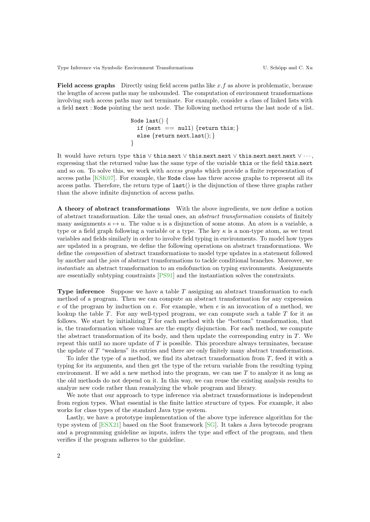Type Inference via Symbolic Environment Transformations U. Schöpp and C. Xu

**Field access graphs** Directly using field access paths like  $x \cdot f$  as above is problematic, because the lengths of access paths may be unbounded. The computation of environment transformations involving such access paths may not terminate. For example, consider a class of linked lists with a field next : Node pointing the next node. The following method returns the last node of a list.

$$
\begin{array}{ll}\texttt{Node last()} {\small \{ } } \\ \texttt{if (next == null) {return this;} } \\ \texttt{else {return next last();} } \end{array}
$$

It would have return type this ∨ this.next ∨ this.next.next ∨ this.next.next.next ∨ · · · , expressing that the returned value has the same type of the variable this or the field this.next and so on. To solve this, we work with *access graphs* which provide a finite representation of access paths [\[KSK07\]](#page-2-5). For example, the Node class has three access graphs to represent all its access paths. Therefore, the return type of  $last()$  is the disjunction of these three graphs rather than the above infinite disjunction of access paths.

A theory of abstract transformations With the above ingredients, we now define a notion of abstract transformation. Like the usual ones, an abstract transformation consists of finitely many assignments  $\kappa \mapsto u$ . The value u is a disjunction of some atoms. An *atom* is a variable, a type or a field graph following a variable or a type. The key  $\kappa$  is a non-type atom, as we treat variables and fields similarly in order to involve field typing in environments. To model how types are updated in a program, we define the following operations on abstract transformations. We define the composition of abstract transformations to model type updates in a statement followed by another and the join of abstract transformations to tackle conditional branches. Moreover, we instantiate an abstract transformation to an endofunction on typing environments. Assignments are essentially subtyping constraints [\[PS91\]](#page-2-6) and the instantiation solves the constraints.

**Type inference** Suppose we have a table  $T$  assigning an abstract transformation to each method of a program. Then we can compute an abstract transformation for any expression e of the program by induction on  $e$ . For example, when  $e$  is an invocation of a method, we lookup the table  $T$ . For any well-typed program, we can compute such a table  $T$  for it as follows. We start by initializing  $T$  for each method with the "bottom" transformation, that is, the transformation whose values are the empty disjunction. For each method, we compute the abstract transformation of its body, and then update the corresponding entry in  $T$ . We repeat this until no more update of T is possible. This procedure always terminates, because the update of T "weakens" its entries and there are only finitely many abstract transformations.

To infer the type of a method, we find its abstract transformation from T, feed it with a typing for its arguments, and then get the type of the return variable from the resulting typing environment. If we add a new method into the program, we can use  $T$  to analyze it as long as the old methods do not depend on it. In this way, we can reuse the existing analysis results to analyze new code rather than reanalyzing the whole program and library.

We note that our approach to type inference via abstract transformations is independent from region types. What essential is the finite lattice structure of types. For example, it also works for class types of the standard Java type system.

Lastly, we have a prototype implementation of the above type inference algorithm for the type system of [\[ESX21\]](#page-2-3) based on the Soot framework [\[SG\]](#page-2-7). It takes a Java bytecode program and a programming guideline as inputs, infers the type and effect of the program, and then verifies if the program adheres to the guideline.